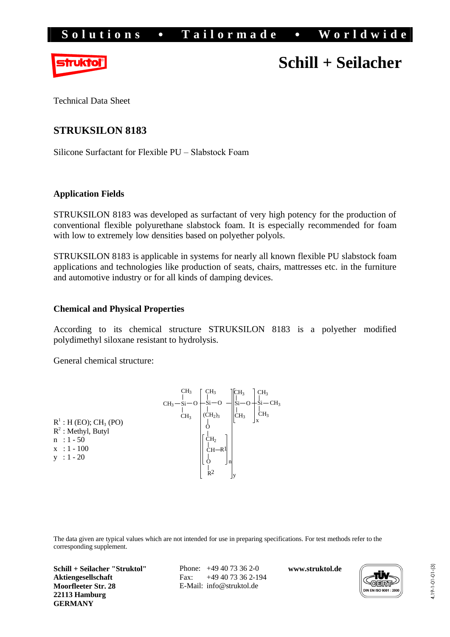

# **Schill + Seilacher**

Technical Data Sheet

# **STRUKSILON 8183**

Silicone Surfactant for Flexible PU – Slabstock Foam

# **Application Fields**

STRUKSILON 8183 was developed as surfactant of very high potency for the production of conventional flexible polyurethane slabstock foam. It is especially recommended for foam with low to extremely low densities based on polyether polyols.

STRUKSILON 8183 is applicable in systems for nearly all known flexible PU slabstock foam applications and technologies like production of seats, chairs, mattresses etc. in the furniture and automotive industry or for all kinds of damping devices.

# **Chemical and Physical Properties**

According to its chemical structure STRUKSILON 8183 is a polyether modified polydimethyl siloxane resistant to hydrolysis.

General chemical structure:

|                                      |                | CH <sub>3</sub> | CH <sub>3</sub>                 | CH <sub>3</sub> | CH <sub>3</sub> |
|--------------------------------------|----------------|-----------------|---------------------------------|-----------------|-----------------|
|                                      | $CH3 - Si - O$ |                 |                                 | $Si-O$          | $-Si-CH_3$      |
|                                      |                | CH <sub>3</sub> | (CH <sub>2</sub> ) <sub>3</sub> | CH <sub>3</sub> | CH <sub>3</sub> |
| $R^1$ : H (EO); CH <sub>3</sub> (PO) |                |                 |                                 |                 |                 |
| $R^2$ : Methyl, Butyl                |                |                 |                                 |                 |                 |
| $n : 1 - 50$                         |                |                 | ĊН <sub>2</sub>                 |                 |                 |
| $x : 1 - 100$                        |                |                 | $CH-R1$                         |                 |                 |
| $: 1 - 20$<br>V                      |                |                 | J n                             |                 |                 |
|                                      |                |                 | R <sup>2</sup>                  |                 |                 |

The data given are typical values which are not intended for use in preparing specifications. For test methods refer to the corresponding supplement.

**Schill + Seilacher "Struktol" Aktiengesellschaft Moorfleeter Str. 28 22113 Hamburg GERMANY**

Phone: +49 40 73 36 2-0 Fax: +49 40 73 36 2-194 E-Mail: [info@struktol.de](mailto:info@struktol.de)

**[www.struktol.de](http://www.struktol.de)**

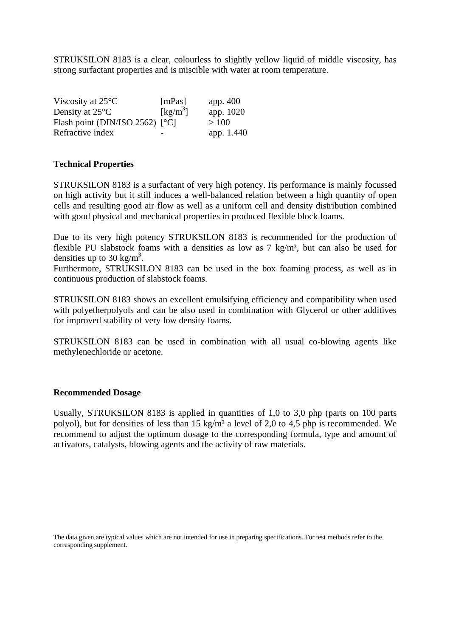STRUKSILON 8183 is a clear, colourless to slightly yellow liquid of middle viscosity, has strong surfactant properties and is miscible with water at room temperature.

| Viscosity at $25^{\circ}$ C     | [mPas]                         | app. $400$ |
|---------------------------------|--------------------------------|------------|
| Density at $25^{\circ}$ C       | $\left[\mathrm{kg/m}^3\right]$ | app. 1020  |
| Flash point (DIN/ISO 2562) [°C] |                                | >100       |
| Refractive index                |                                | app. 1.440 |

### **Technical Properties**

STRUKSILON 8183 is a surfactant of very high potency. Its performance is mainly focussed on high activity but it still induces a well-balanced relation between a high quantity of open cells and resulting good air flow as well as a uniform cell and density distribution combined with good physical and mechanical properties in produced flexible block foams.

Due to its very high potency STRUKSILON 8183 is recommended for the production of flexible PU slabstock foams with a densities as low as  $7 \text{ kg/m}^3$ , but can also be used for densities up to 30 kg/m<sup>3</sup>.

Furthermore, STRUKSILON 8183 can be used in the box foaming process, as well as in continuous production of slabstock foams.

STRUKSILON 8183 shows an excellent emulsifying efficiency and compatibility when used with polyetherpolyols and can be also used in combination with Glycerol or other additives for improved stability of very low density foams.

STRUKSILON 8183 can be used in combination with all usual co-blowing agents like methylenechloride or acetone.

#### **Recommended Dosage**

Usually, STRUKSILON 8183 is applied in quantities of 1,0 to 3,0 php (parts on 100 parts polyol), but for densities of less than 15 kg/m³ a level of 2,0 to 4,5 php is recommended. We recommend to adjust the optimum dosage to the corresponding formula, type and amount of activators, catalysts, blowing agents and the activity of raw materials.

The data given are typical values which are not intended for use in preparing specifications. For test methods refer to the corresponding supplement.